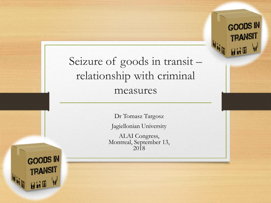#### Seizure of goods in transit – relationship with criminal measures

**GOODS IN** 

**TRANSIT** 

**BRO** 

Dr Tomasz Targosz

Jagiellonian University

ALAI Congress, Montreal, September 13, 2018

**GOODS IN TRANSIT**  $H$  is  $I$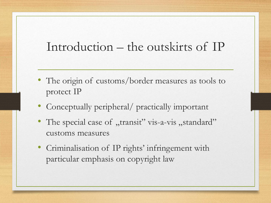#### Introduction – the outskirts of IP

- The origin of customs/border measures as tools to protect IP
- Conceptually peripheral/ practically important
- The special case of "transit" vis-a-vis "standard" customs measures
- Criminalisation of IP rights' infringement with particular emphasis on copyright law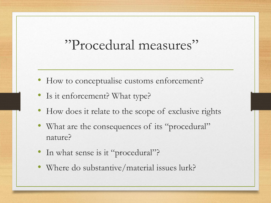#### "Procedural measures"

- How to conceptualise customs enforcement?
- Is it enforcement? What type?
- How does it relate to the scope of exclusive rights
- What are the consequences of its "procedural" nature?
- In what sense is it "procedural"?
- Where do substantive/material issues lurk?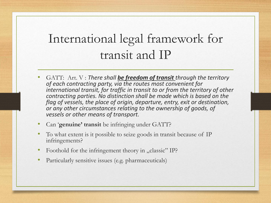# International legal framework for transit and IP

- GATT: Art. V : *There shall be freedom of transit through the territory of each contracting party, via the routes most convenient for international transit, for traffic in transit to or from the territory of other contracting parties. No distinction shall be made which is based on the flag of vessels, the place of origin, departure, entry, exit or destination, or any other circumstances relating to the ownership of goods, of vessels or other means of transport.*
- Can '**genuine' transit** be infringing under GATT?
- To what extent is it possible to seize goods in transit because of IP infringements?
- Foothold for the infringement theory in "classic" IP?
- Particularly sensitive issues (e.g. pharmaceuticals)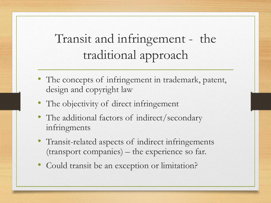# Transit and infringement - the traditional approach

- The concepts of infringement in trademark, patent, design and copyright law
- The objectivity of direct infringement
- The additional factors of indirect/secondary infringments
- Transit-related aspects of indirect infringements (transport companies) – the experience so far.
- Could transit be an exception or limitation?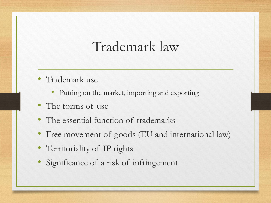#### Trademark law

- Trademark use
	- Putting on the market, importing and exporting
- The forms of use
- The essential function of trademarks
- Free movement of goods (EU and international law)
- Territoriality of IP rights
- Significance of a risk of infringement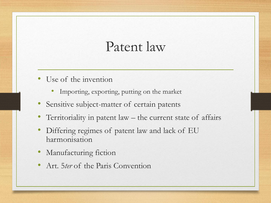#### Patent law

- Use of the invention
	- Importing, exporting, putting on the market
- Sensitive subject-matter of certain patents
- Territoriality in patent law the current state of affairs
- Differing regimes of patent law and lack of EU harmonisation
- Manufacturing fiction
- Art. 5*ter* of the Paris Convention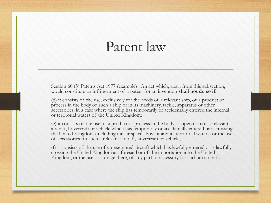#### Patent law

Section 60 (5) Patents Act 1977 (example) : An act which, apart from this subsection, would constitute an infringement of a patent for an invention **shall not do so if:**

(d) it consists of the use, exclusively for the needs of a relevant ship, of a product or process in the body of such a ship or in its machinery, tackle, apparatus or other accessories, in a case where the ship has temporarily or accidentally entered the internal or territorial waters of the United Kingdom;

(e) it consists of the use of a product or process in the body or operation of a relevant aircraft, hovercraft or vehicle which has temporarily or accidentally entered or is crossing the United Kingdom (including the air space above it and its territorial waters) or the use of accessories for such a relevant aircraft, hovercraft or vehicle;

(f) it consists of the use of an exempted aircraft which has lawfully entered or is lawfully crossing the United Kingdom as aforesaid or of the importation into the United Kingdom, or the use or storage there, of any part or accessory for such an aircraft.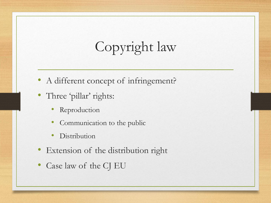# Copyright law

- A different concept of infringement?
- Three 'pillar' rights:
	- **Reproduction**
	- Communication to the public
	- Distribution
- Extension of the distribution right
- Case law of the CJ EU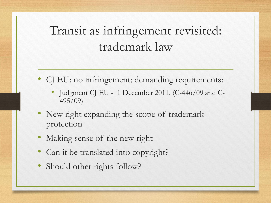# Transit as infringement revisited: trademark law

- CJ EU: no infringement; demanding requirements:
	- Judgment CJ EU 1 December 2011, (C-446/09 and C-495/09)
- New right expanding the scope of trademark protection
- Making sense of the new right
- Can it be translated into copyright?
- Should other rights follow?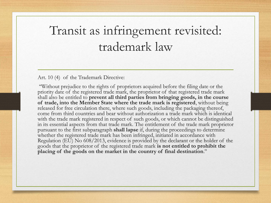# Transit as infringement revisited: trademark law

#### Art. 10 (4) of the Trademark Directive:

''Without prejudice to the rights of proprietors acquired before the filing date or the priority date of the registered trade mark, the proprietor of that registered trade mark shall also be entitled to **prevent all third parties from bringing goods, in the course of trade, into the Member State where the trade mark is registered**, without being released for free circulation there, where such goods, including the packaging thereof, come from third countries and bear without authorization a trade mark which is identical with the trade mark registered in respect of such goods, or which cannot be distinguished in its essential aspects from that trade mark. The entitlement of the trade mark proprietor pursuant to the first subparagraph **shall lapse** if, during the proceedings to determine whether the registered trade mark has been infringed, initiated in accordance with Regulation (EU) No 608/2013, evidence is provided by the declarant or the holder of the goods that the proprietor of the registered trade mark **is not entitled to prohibit the placing of the goods on the market in the country of final destination**.''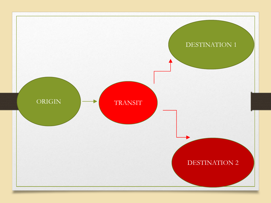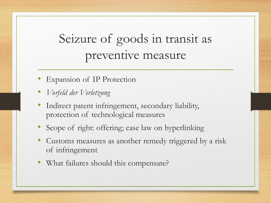# Seizure of goods in transit as preventive measure

- **Expansion of IP Protection**
- *Vorfeld der Verletzung*
- Indirect patent infringement, secondary liability, protection of technological measures
- Scope of right: offering; case law on hyperlinking
- Customs measures as another remedy triggered by a risk of infringement
- What failures should this compensate?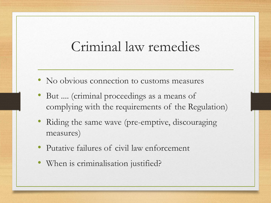# Criminal law remedies

- No obvious connection to customs measures
- But .... (criminal proceedings as a means of complying with the requirements of the Regulation)
- Riding the same wave (pre-emptive, discouraging measures)
- Putative failures of civil law enforcement
- When is criminalisation justified?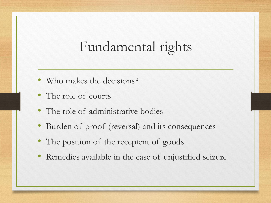# Fundamental rights

- Who makes the decisions?
- The role of courts
- The role of administrative bodies
- Burden of proof (reversal) and its consequences
- The position of the recepient of goods
- Remedies available in the case of unjustified seizure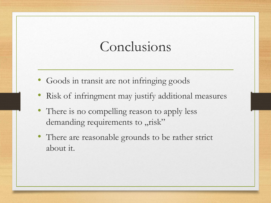# Conclusions

- Goods in transit are not infringing goods
- Risk of infringment may justify additional measures
- There is no compelling reason to apply less demanding requirements to "risk"
- There are reasonable grounds to be rather strict about it.